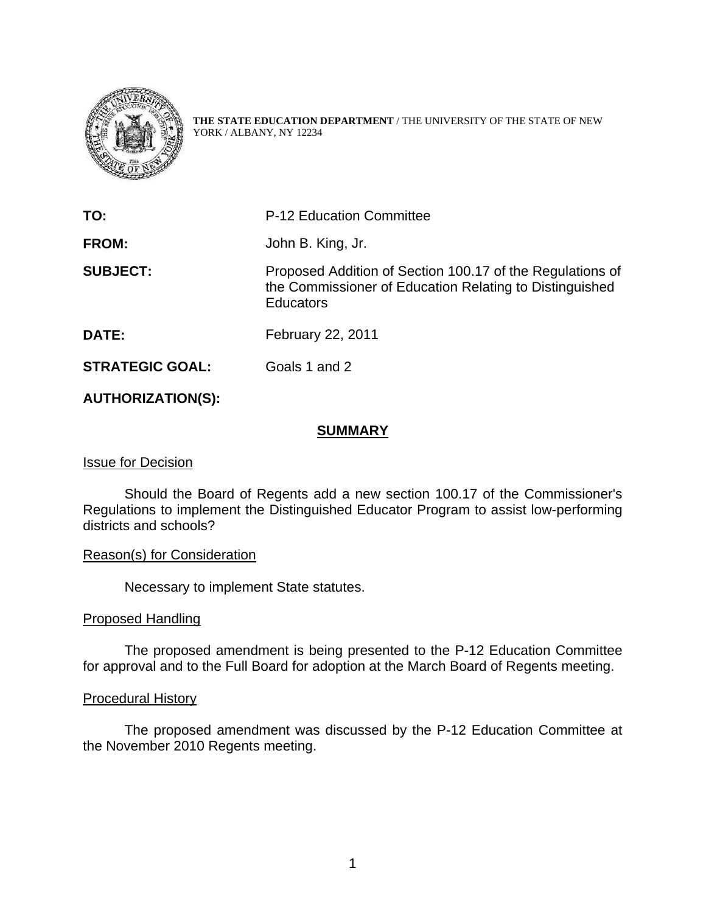

**THE STATE EDUCATION DEPARTMENT** / THE UNIVERSITY OF THE STATE OF NEW YORK / ALBANY, NY 12234

| TO:                    | <b>P-12 Education Committee</b>                                                                                                          |
|------------------------|------------------------------------------------------------------------------------------------------------------------------------------|
| FROM:                  | John B. King, Jr.                                                                                                                        |
| <b>SUBJECT:</b>        | Proposed Addition of Section 100.17 of the Regulations of<br>the Commissioner of Education Relating to Distinguished<br><b>Educators</b> |
| DATE:                  | February 22, 2011                                                                                                                        |
| <b>STRATEGIC GOAL:</b> | Goals 1 and 2                                                                                                                            |

## **AUTHORIZATION(S):**

## **SUMMARY**

## Issue for Decision

Should the Board of Regents add a new section 100.17 of the Commissioner's Regulations to implement the Distinguished Educator Program to assist low-performing districts and schools?

## Reason(s) for Consideration

Necessary to implement State statutes.

## Proposed Handling

The proposed amendment is being presented to the P-12 Education Committee for approval and to the Full Board for adoption at the March Board of Regents meeting.

## Procedural History

 The proposed amendment was discussed by the P-12 Education Committee at the November 2010 Regents meeting.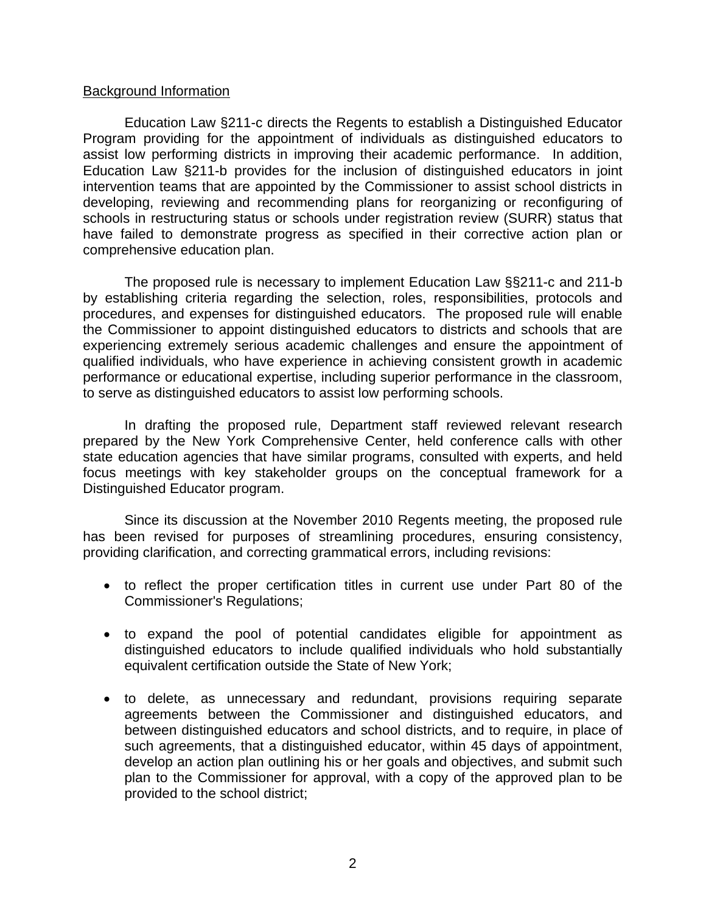## Background Information

Education Law §211-c directs the Regents to establish a Distinguished Educator Program providing for the appointment of individuals as distinguished educators to assist low performing districts in improving their academic performance. In addition, Education Law §211-b provides for the inclusion of distinguished educators in joint intervention teams that are appointed by the Commissioner to assist school districts in developing, reviewing and recommending plans for reorganizing or reconfiguring of schools in restructuring status or schools under registration review (SURR) status that have failed to demonstrate progress as specified in their corrective action plan or comprehensive education plan.

The proposed rule is necessary to implement Education Law §§211-c and 211-b by establishing criteria regarding the selection, roles, responsibilities, protocols and procedures, and expenses for distinguished educators. The proposed rule will enable the Commissioner to appoint distinguished educators to districts and schools that are experiencing extremely serious academic challenges and ensure the appointment of qualified individuals, who have experience in achieving consistent growth in academic performance or educational expertise, including superior performance in the classroom, to serve as distinguished educators to assist low performing schools.

In drafting the proposed rule, Department staff reviewed relevant research prepared by the New York Comprehensive Center, held conference calls with other state education agencies that have similar programs, consulted with experts, and held focus meetings with key stakeholder groups on the conceptual framework for a Distinguished Educator program.

 Since its discussion at the November 2010 Regents meeting, the proposed rule has been revised for purposes of streamlining procedures, ensuring consistency, providing clarification, and correcting grammatical errors, including revisions:

- to reflect the proper certification titles in current use under Part 80 of the Commissioner's Regulations;
- to expand the pool of potential candidates eligible for appointment as distinguished educators to include qualified individuals who hold substantially equivalent certification outside the State of New York;
- to delete, as unnecessary and redundant, provisions requiring separate agreements between the Commissioner and distinguished educators, and between distinguished educators and school districts, and to require, in place of such agreements, that a distinguished educator, within 45 days of appointment, develop an action plan outlining his or her goals and objectives, and submit such plan to the Commissioner for approval, with a copy of the approved plan to be provided to the school district;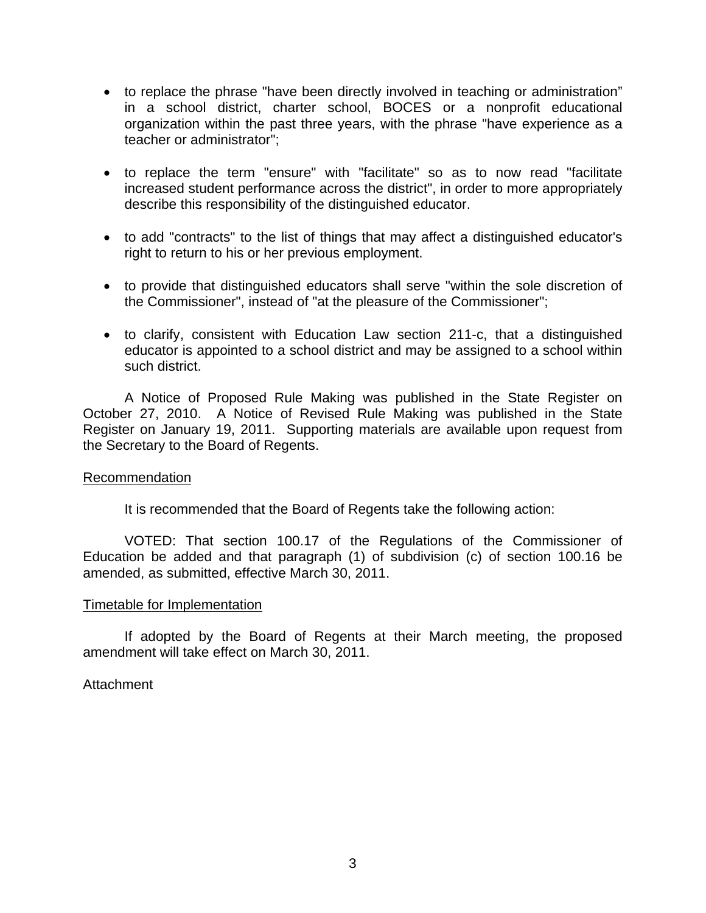- to replace the phrase "have been directly involved in teaching or administration" in a school district, charter school, BOCES or a nonprofit educational organization within the past three years, with the phrase "have experience as a teacher or administrator";
- to replace the term "ensure" with "facilitate" so as to now read "facilitate increased student performance across the district", in order to more appropriately describe this responsibility of the distinguished educator.
- to add "contracts" to the list of things that may affect a distinguished educator's right to return to his or her previous employment.
- to provide that distinguished educators shall serve "within the sole discretion of the Commissioner", instead of "at the pleasure of the Commissioner";
- to clarify, consistent with Education Law section 211-c, that a distinguished educator is appointed to a school district and may be assigned to a school within such district.

 A Notice of Proposed Rule Making was published in the State Register on October 27, 2010. A Notice of Revised Rule Making was published in the State Register on January 19, 2011. Supporting materials are available upon request from the Secretary to the Board of Regents.

## Recommendation

It is recommended that the Board of Regents take the following action:

VOTED: That section 100.17 of the Regulations of the Commissioner of Education be added and that paragraph (1) of subdivision (c) of section 100.16 be amended, as submitted, effective March 30, 2011.

## Timetable for Implementation

If adopted by the Board of Regents at their March meeting, the proposed amendment will take effect on March 30, 2011.

# **Attachment**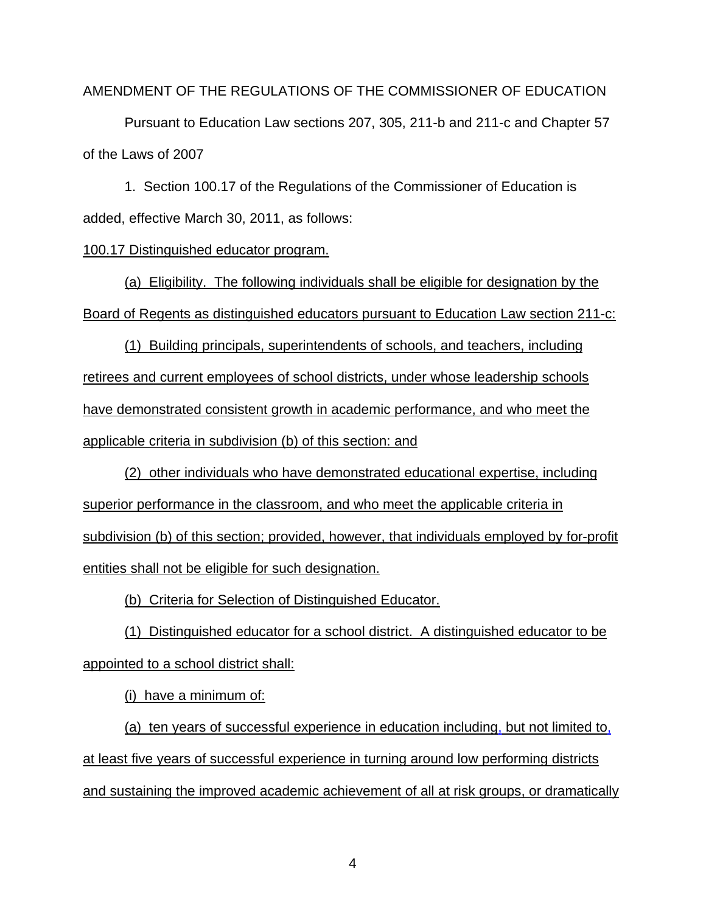AMENDMENT OF THE REGULATIONS OF THE COMMISSIONER OF EDUCATION

Pursuant to Education Law sections 207, 305, 211-b and 211-c and Chapter 57 of the Laws of 2007

 1. Section 100.17 of the Regulations of the Commissioner of Education is added, effective March 30, 2011, as follows:

#### 100.17 Distinguished educator program.

(a) Eligibility. The following individuals shall be eligible for designation by the Board of Regents as distinguished educators pursuant to Education Law section 211-c:

(1) Building principals, superintendents of schools, and teachers, including retirees and current employees of school districts, under whose leadership schools have demonstrated consistent growth in academic performance, and who meet the applicable criteria in subdivision (b) of this section: and

(2) other individuals who have demonstrated educational expertise, including superior performance in the classroom, and who meet the applicable criteria in subdivision (b) of this section; provided, however, that individuals employed by for-profit entities shall not be eligible for such designation.

(b) Criteria for Selection of Distinguished Educator.

(1) Distinguished educator for a school district. A distinguished educator to be appointed to a school district shall:

(i) have a minimum of:

(a) ten years of successful experience in education including, but not limited to, at least five years of successful experience in turning around low performing districts and sustaining the improved academic achievement of all at risk groups, or dramatically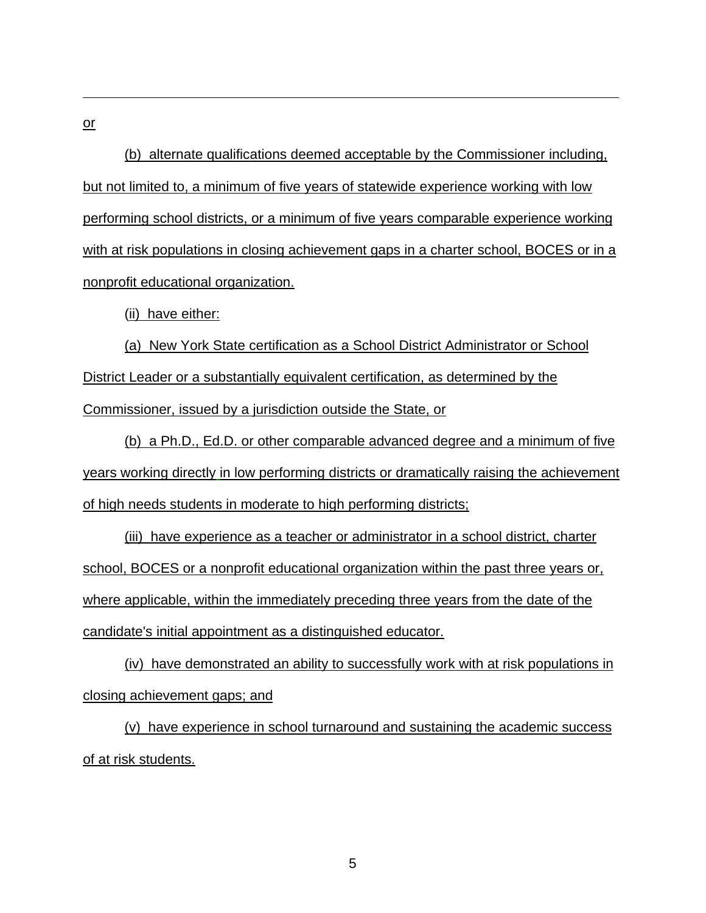or

(b) alternate qualifications deemed acceptable by the Commissioner including, but not limited to, a minimum of five years of statewide experience working with low performing school districts, or a minimum of five years comparable experience working with at risk populations in closing achievement gaps in a charter school, BOCES or in a nonprofit educational organization.

(ii) have either:

(a) New York State certification as a School District Administrator or School District Leader or a substantially equivalent certification, as determined by the Commissioner, issued by a jurisdiction outside the State, or

(b) a Ph.D., Ed.D. or other comparable advanced degree and a minimum of five years working directly in low performing districts or dramatically raising the achievement of high needs students in moderate to high performing districts;

(iii) have experience as a teacher or administrator in a school district, charter school, BOCES or a nonprofit educational organization within the past three years or, where applicable, within the immediately preceding three years from the date of the candidate's initial appointment as a distinguished educator.

(iv) have demonstrated an ability to successfully work with at risk populations in closing achievement gaps; and

(v) have experience in school turnaround and sustaining the academic success of at risk students.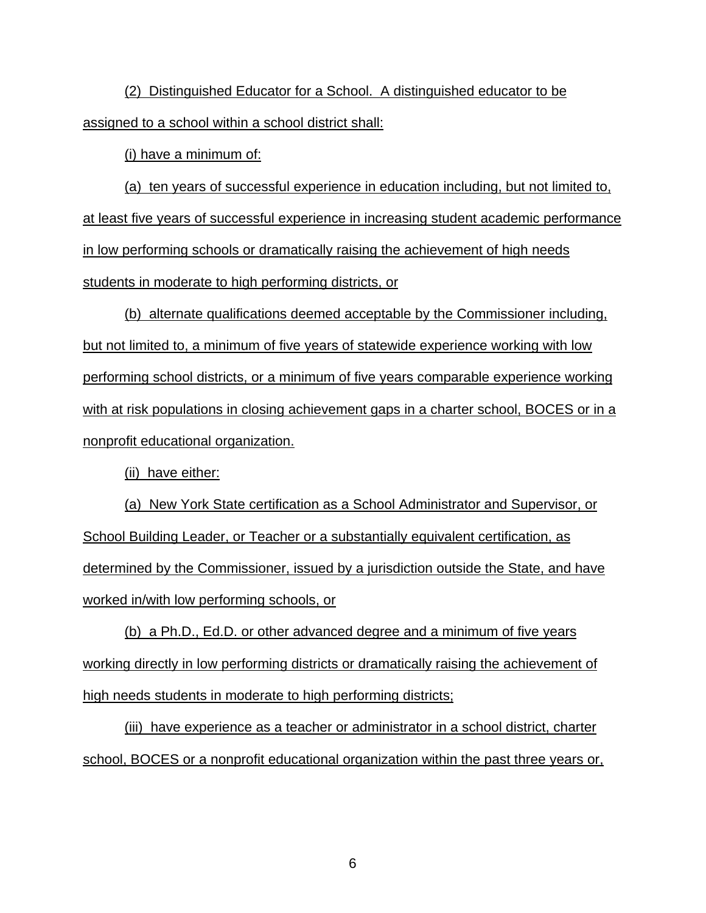(2) Distinguished Educator for a School. A distinguished educator to be assigned to a school within a school district shall:

(i) have a minimum of:

(a) ten years of successful experience in education including, but not limited to, at least five years of successful experience in increasing student academic performance in low performing schools or dramatically raising the achievement of high needs students in moderate to high performing districts, or

(b) alternate qualifications deemed acceptable by the Commissioner including, but not limited to, a minimum of five years of statewide experience working with low performing school districts, or a minimum of five years comparable experience working with at risk populations in closing achievement gaps in a charter school, BOCES or in a nonprofit educational organization.

(ii) have either:

(a) New York State certification as a School Administrator and Supervisor, or School Building Leader, or Teacher or a substantially equivalent certification, as determined by the Commissioner, issued by a jurisdiction outside the State, and have worked in/with low performing schools, or

(b) a Ph.D., Ed.D. or other advanced degree and a minimum of five years working directly in low performing districts or dramatically raising the achievement of high needs students in moderate to high performing districts;

(iii) have experience as a teacher or administrator in a school district, charter school, BOCES or a nonprofit educational organization within the past three years or,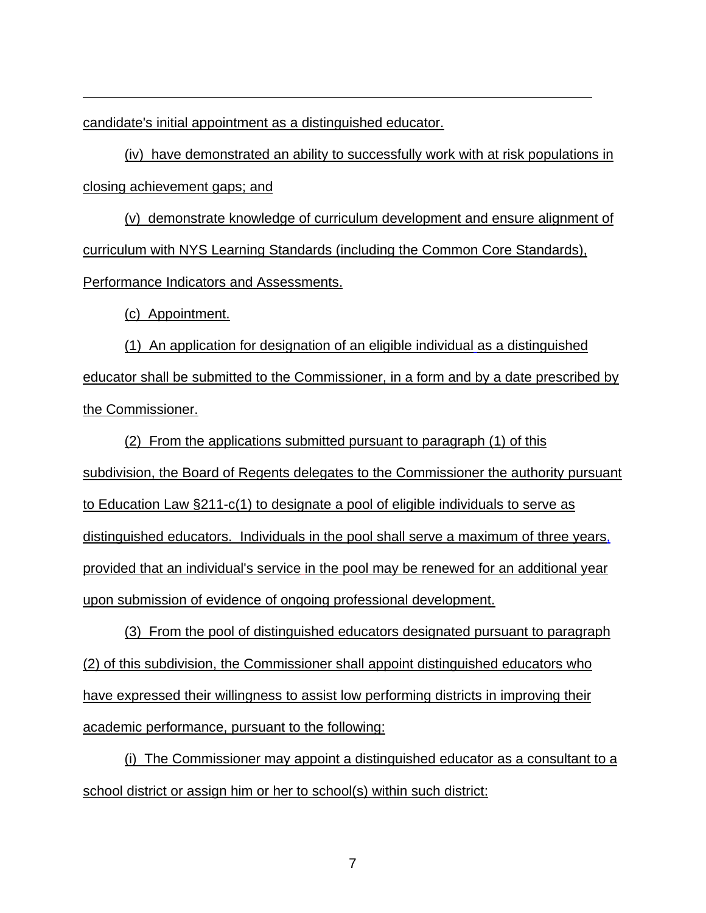candidate's initial appointment as a distinguished educator.

(iv) have demonstrated an ability to successfully work with at risk populations in closing achievement gaps; and

(v) demonstrate knowledge of curriculum development and ensure alignment of curriculum with NYS Learning Standards (including the Common Core Standards), Performance Indicators and Assessments.

(c) Appointment.

(1) An application for designation of an eligible individual as a distinguished educator shall be submitted to the Commissioner, in a form and by a date prescribed by the Commissioner.

(2) From the applications submitted pursuant to paragraph (1) of this subdivision, the Board of Regents delegates to the Commissioner the authority pursuant to Education Law §211-c(1) to designate a pool of eligible individuals to serve as distinguished educators. Individuals in the pool shall serve a maximum of three years, provided that an individual's service in the pool may be renewed for an additional year upon submission of evidence of ongoing professional development.

(3) From the pool of distinguished educators designated pursuant to paragraph (2) of this subdivision, the Commissioner shall appoint distinguished educators who have expressed their willingness to assist low performing districts in improving their academic performance, pursuant to the following:

(i) The Commissioner may appoint a distinguished educator as a consultant to a school district or assign him or her to school(s) within such district: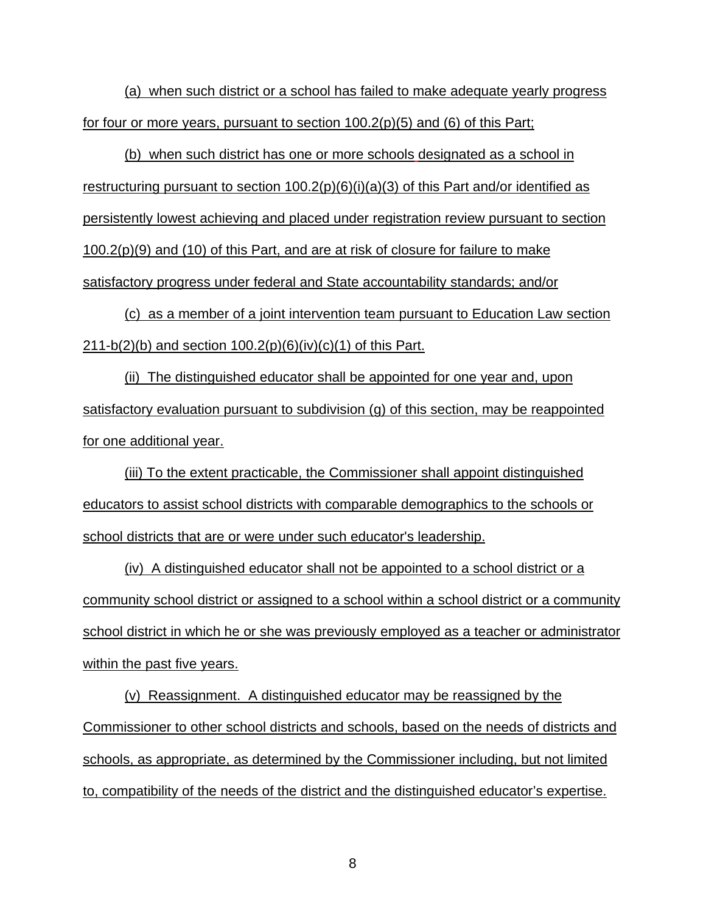(a) when such district or a school has failed to make adequate yearly progress for four or more years, pursuant to section 100.2(p)(5) and (6) of this Part;

(b) when such district has one or more schools designated as a school in restructuring pursuant to section  $100.2(p)(6)(i)(a)(3)$  of this Part and/or identified as persistently lowest achieving and placed under registration review pursuant to section  $100.2(p)(9)$  and (10) of this Part, and are at risk of closure for failure to make satisfactory progress under federal and State accountability standards; and/or

(c) as a member of a joint intervention team pursuant to Education Law section 211-b(2)(b) and section  $100.2(p)(6)(iv)(c)(1)$  of this Part.

(ii) The distinguished educator shall be appointed for one year and, upon satisfactory evaluation pursuant to subdivision (g) of this section, may be reappointed for one additional year.

(iii) To the extent practicable, the Commissioner shall appoint distinguished educators to assist school districts with comparable demographics to the schools or school districts that are or were under such educator's leadership.

(iv) A distinguished educator shall not be appointed to a school district or a community school district or assigned to a school within a school district or a community school district in which he or she was previously employed as a teacher or administrator within the past five years.

(v) Reassignment. A distinguished educator may be reassigned by the Commissioner to other school districts and schools, based on the needs of districts and schools, as appropriate, as determined by the Commissioner including, but not limited to, compatibility of the needs of the district and the distinguished educator's expertise.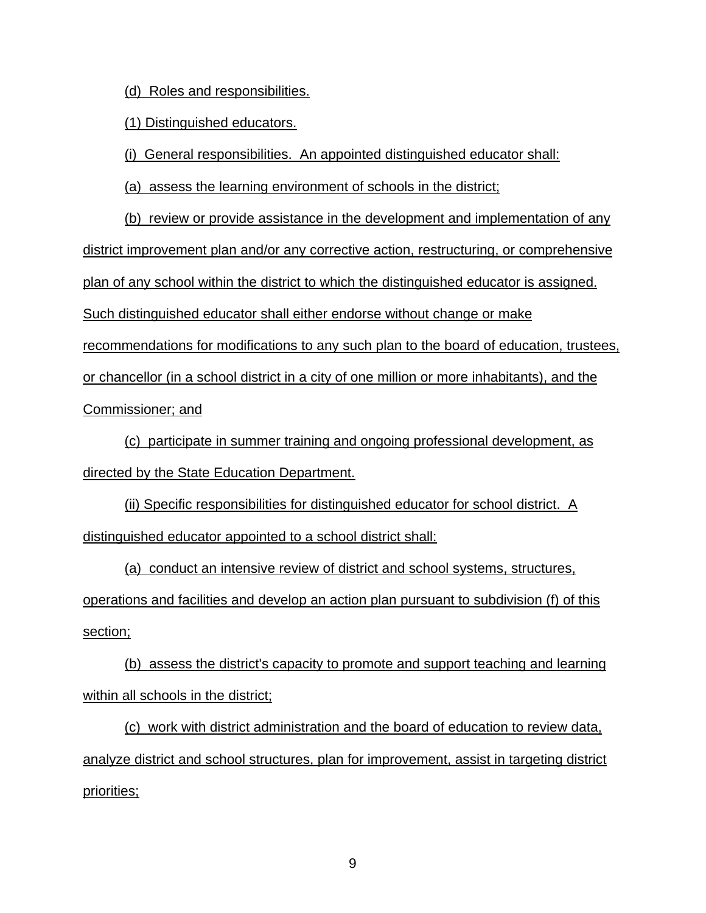(d) Roles and responsibilities.

(1) Distinguished educators.

(i) General responsibilities. An appointed distinguished educator shall:

(a) assess the learning environment of schools in the district;

(b) review or provide assistance in the development and implementation of any district improvement plan and/or any corrective action, restructuring, or comprehensive plan of any school within the district to which the distinguished educator is assigned. Such distinguished educator shall either endorse without change or make recommendations for modifications to any such plan to the board of education, trustees, or chancellor (in a school district in a city of one million or more inhabitants), and the Commissioner; and

(c) participate in summer training and ongoing professional development, as directed by the State Education Department.

(ii) Specific responsibilities for distinguished educator for school district. A distinguished educator appointed to a school district shall:

(a) conduct an intensive review of district and school systems, structures, operations and facilities and develop an action plan pursuant to subdivision (f) of this section;

(b) assess the district's capacity to promote and support teaching and learning within all schools in the district;

(c) work with district administration and the board of education to review data, analyze district and school structures, plan for improvement, assist in targeting district priorities;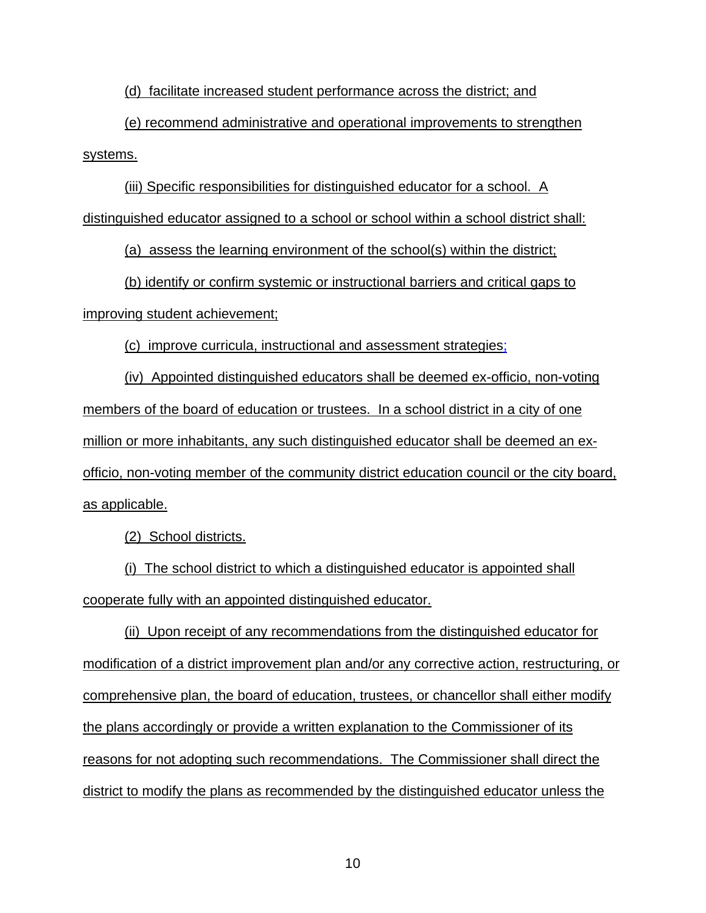(d) facilitate increased student performance across the district; and

(e) recommend administrative and operational improvements to strengthen systems.

(iii) Specific responsibilities for distinguished educator for a school. A distinguished educator assigned to a school or school within a school district shall:

(a) assess the learning environment of the school(s) within the district;

(b) identify or confirm systemic or instructional barriers and critical gaps to improving student achievement;

(c) improve curricula, instructional and assessment strategies;

(iv) Appointed distinguished educators shall be deemed ex-officio, non-voting members of the board of education or trustees. In a school district in a city of one million or more inhabitants, any such distinguished educator shall be deemed an exofficio, non-voting member of the community district education council or the city board, as applicable.

(2) School districts.

(i) The school district to which a distinguished educator is appointed shall cooperate fully with an appointed distinguished educator.

(ii) Upon receipt of any recommendations from the distinguished educator for modification of a district improvement plan and/or any corrective action, restructuring, or comprehensive plan, the board of education, trustees, or chancellor shall either modify the plans accordingly or provide a written explanation to the Commissioner of its reasons for not adopting such recommendations. The Commissioner shall direct the district to modify the plans as recommended by the distinguished educator unless the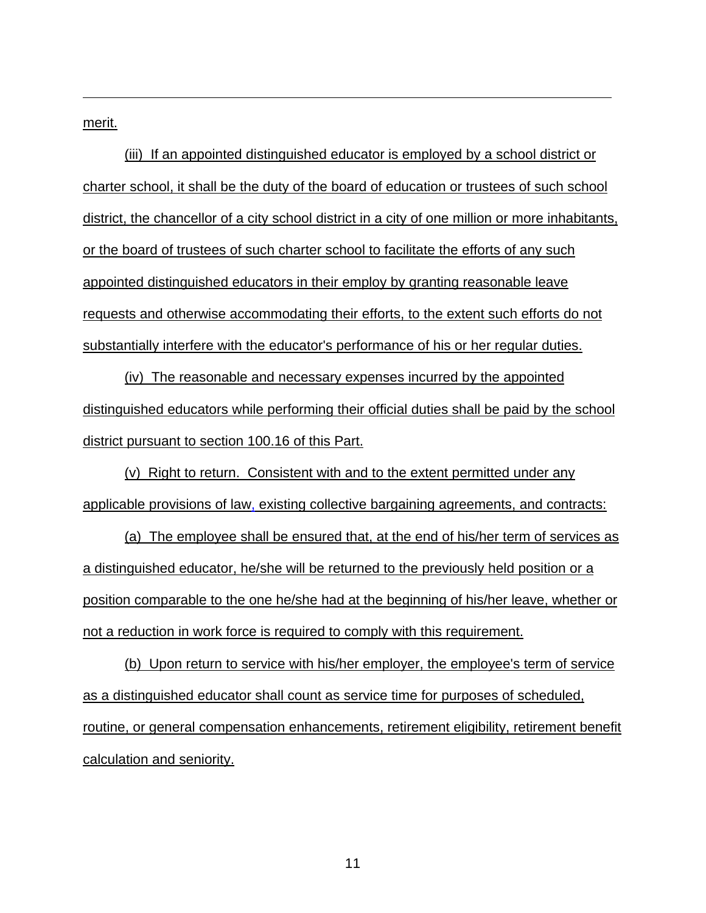merit.

(iii) If an appointed distinguished educator is employed by a school district or charter school, it shall be the duty of the board of education or trustees of such school district, the chancellor of a city school district in a city of one million or more inhabitants, or the board of trustees of such charter school to facilitate the efforts of any such appointed distinguished educators in their employ by granting reasonable leave requests and otherwise accommodating their efforts, to the extent such efforts do not substantially interfere with the educator's performance of his or her regular duties.

(iv) The reasonable and necessary expenses incurred by the appointed distinguished educators while performing their official duties shall be paid by the school district pursuant to section 100.16 of this Part.

(v) Right to return. Consistent with and to the extent permitted under any applicable provisions of law, existing collective bargaining agreements, and contracts:

(a) The employee shall be ensured that, at the end of his/her term of services as a distinguished educator, he/she will be returned to the previously held position or a position comparable to the one he/she had at the beginning of his/her leave, whether or not a reduction in work force is required to comply with this requirement.

(b) Upon return to service with his/her employer, the employee's term of service as a distinguished educator shall count as service time for purposes of scheduled, routine, or general compensation enhancements, retirement eligibility, retirement benefit calculation and seniority.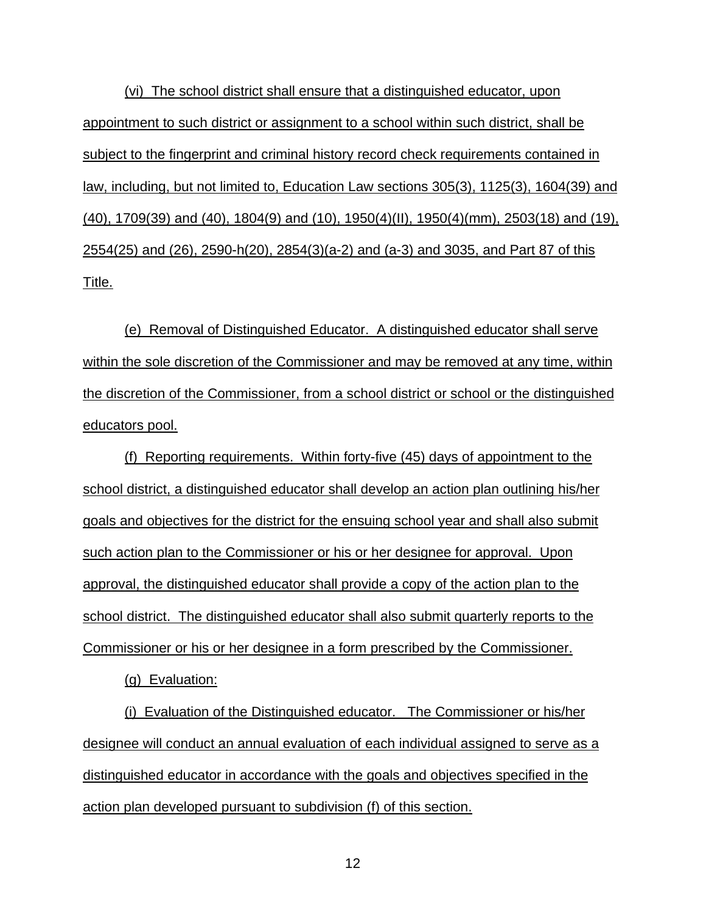(vi) The school district shall ensure that a distinguished educator, upon appointment to such district or assignment to a school within such district, shall be subject to the fingerprint and criminal history record check requirements contained in law, including, but not limited to, Education Law sections 305(3), 1125(3), 1604(39) and (40), 1709(39) and (40), 1804(9) and (10), 1950(4)(II), 1950(4)(mm), 2503(18) and (19), 2554(25) and (26), 2590-h(20), 2854(3)(a-2) and (a-3) and 3035, and Part 87 of this Title.

(e) Removal of Distinguished Educator. A distinguished educator shall serve within the sole discretion of the Commissioner and may be removed at any time, within the discretion of the Commissioner, from a school district or school or the distinguished educators pool.

(f) Reporting requirements. Within forty-five (45) days of appointment to the school district, a distinguished educator shall develop an action plan outlining his/her goals and objectives for the district for the ensuing school year and shall also submit such action plan to the Commissioner or his or her designee for approval. Upon approval, the distinguished educator shall provide a copy of the action plan to the school district. The distinguished educator shall also submit quarterly reports to the Commissioner or his or her designee in a form prescribed by the Commissioner.

(g) Evaluation:

(i) Evaluation of the Distinguished educator. The Commissioner or his/her designee will conduct an annual evaluation of each individual assigned to serve as a distinguished educator in accordance with the goals and objectives specified in the action plan developed pursuant to subdivision (f) of this section.